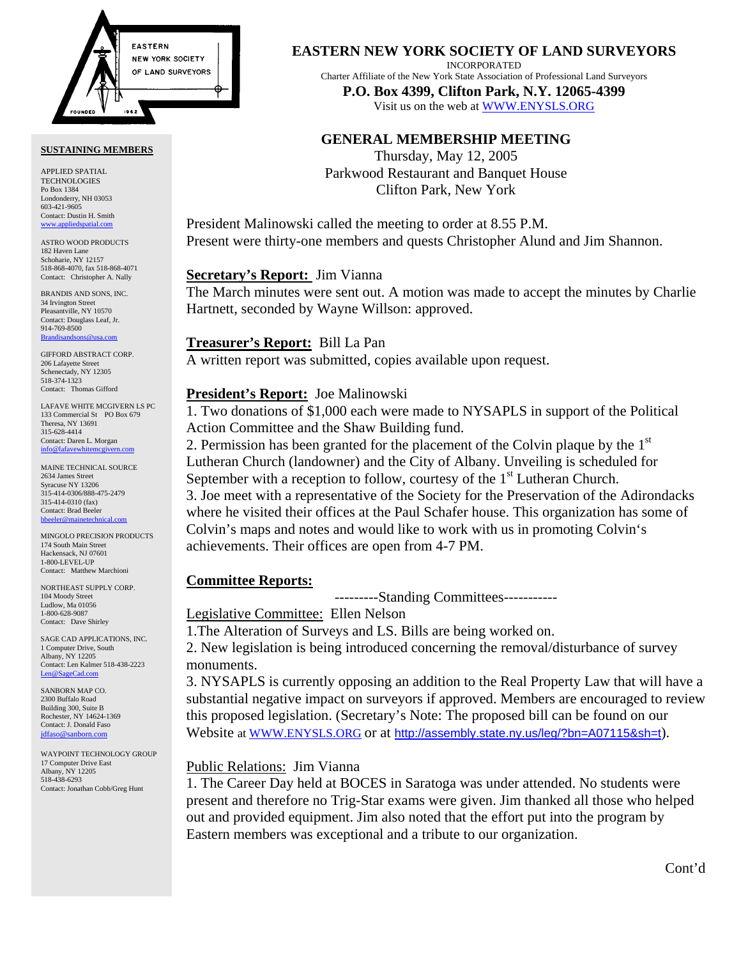

#### **SUSTAINING MEMBERS**

APPLIED SPATIAL TECHNOLOGIES Po Box 1384 Londonderry, NH 03053 603-421-9605 Contact: Dustin H. Smith <www.appliedspatial.com>

ASTRO WOOD PRODUCTS 182 Haven Lane Schoharie, NY 12157 518-868-4070, fax 518-868-4071 Contact: Christopher A. Nally

BRANDIS AND SONS, INC. 34 Irvington Street Pleasantville, NY 10570 Contact: Douglass Leaf, Jr. 914-769-8500 Brandisan

GIFFORD ABSTRACT CORP. 206 Lafayette Street Schenectady, NY 12305 518-374-1323 Contact: Thomas Gifford

LAFAVE WHITE MCGIVERN LS PC 133 Commercial St PO Box 679 Theresa, NY 13691 315-628-4414 Contact: Daren L. Morgan [info@lafavewhitemcgivern.com](mailto:info@lafavewhitemcgivern.com)

MAINE TECHNICAL SOURCE 2634 James Street Syracuse NY 13206 315-414-0306/888-475-2479 315-414-0310 (fax) Contact: Brad Beeler [bbeeler@mainetechnical.com](mailto:bbeeler@mainetechnical.com)

MINGOLO PRECISION PRODUCTS 174 South Main Street Hackensack, NJ 07601 1-800-LEVEL-UP Contact: Matthew Marchioni

NORTHEAST SUPPLY CORP. 104 Moody Street Ludlow, Ma 01056 1-800-628-9087 Contact: Dave Shirley

SAGE CAD APPLICATIONS, INC. 1 Computer Drive, South Albany, NY 12205 Contact: Len Kalmer 518-438-2223 [Len@SageCad.com](mailto:len@sagecad.com)

SANBORN MAP CO. 2300 Buffalo Road Building 300, Suite B Rochester, NY 14624-1369 Contact: J. Donald Faso [jdfaso@sanborn.com](mailto:jdfaso@sanborn.com)

WAYPOINT TECHNOLOGY GROUP 17 Computer Drive East Albany, NY 12205 518-438-6293 Contact: Jonathan Cobb/Greg Hunt

## **EASTERN NEW YORK SOCIETY OF LAND SURVEYORS**

INCORPORATED

Charter Affiliate of the New York State Association of Professional Land Surveyors **P.O. Box 4399, Clifton Park, N.Y. 12065-4399** 

Visit us on the web a[t WWW.ENYSLS.ORG](www.enysls.org)

# **GENERAL MEMBERSHIP MEETING**

Thursday, May 12, 2005 Parkwood Restaurant and Banquet House Clifton Park, New York

President Malinowski called the meeting to order at 8.55 P.M. Present were thirty-one members and quests Christopher Alund and Jim Shannon.

## **Secretary's Report:** Jim Vianna

The March minutes were sent out. A motion was made to accept the minutes by Charlie Hartnett, seconded by Wayne Willson: approved.

#### **Treasurer's Report:** Bill La Pan

A written report was submitted, copies available upon request.

# **President's Report:** Joe Malinowski

1. Two donations of \$1,000 each were made to NYSAPLS in support of the Political Action Committee and the Shaw Building fund.

2. Permission has been granted for the placement of the Colvin plaque by the  $1<sup>st</sup>$ Lutheran Church (landowner) and the City of Albany. Unveiling is scheduled for September with a reception to follow, courtesy of the  $1<sup>st</sup>$  Lutheran Church. 3. Joe meet with a representative of the Society for the Preservation of the Adirondacks where he visited their offices at the Paul Schafer house. This organization has some of Colvin's maps and notes and would like to work with us in promoting Colvin's achievements. Their offices are open from 4-7 PM.

## **Committee Reports:**

---------Standing Committees-----------

Legislative Committee: Ellen Nelson

1.The Alteration of Surveys and LS. Bills are being worked on.

2. New legislation is being introduced concerning the removal/disturbance of survey monuments.

3. NYSAPLS is currently opposing an addition to the Real Property Law that will have a substantial negative impact on surveyors if approved. Members are encouraged to review this proposed legislation. (Secretary's Note: The proposed bill can be found on our Website a[t WWW.ENYSLS.ORG](www.enysls.org) or at <http://assembly.state.ny.us/leg/?bn=A07115&sh=t>).

# Public Relations: Jim Vianna

1. The Career Day held at BOCES in Saratoga was under attended. No students were present and therefore no Trig-Star exams were given. Jim thanked all those who helped out and provided equipment. Jim also noted that the effort put into the program by Eastern members was exceptional and a tribute to our organization.